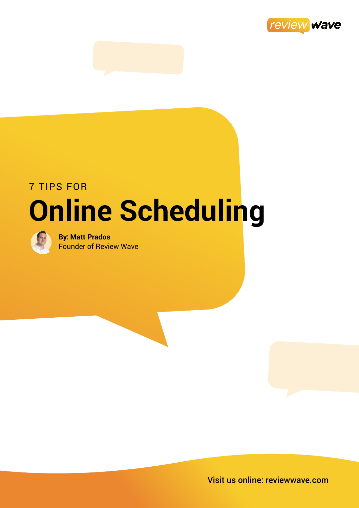

# 7 TIPS FOR **Online Scheduling**



**By: Matt Prados** Founder of Review Wave

Visit us online: reviewwave.com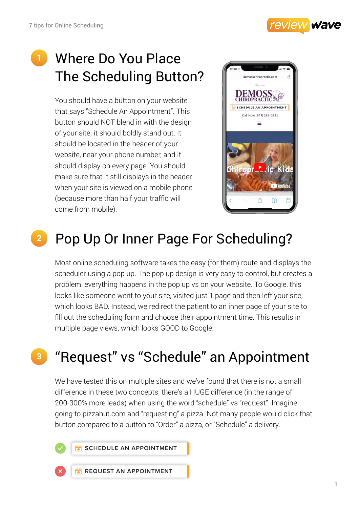

## Where Do You Place The Scheduling Button?

You should have a button on your website that says "Schedule An Appointment". This button should NOT blend in with the design of your site; it should boldly stand out. It should be located in the header of your website, near your phone number, and it should display on every page. You should make sure that it still displays in the header when your site is viewed on a mobile phone (because more than half your traffic will come from mobile).



# **<sup>2</sup>** Pop Up Or Inner Page For Scheduling?

Most online scheduling software takes the easy (for them) route and displays the scheduler using a pop up. The pop up design is very easy to control, but creates a problem: everything happens in the pop up vs on your website. To Google, this looks like someone went to your site, visited just 1 page and then left your site, which looks BAD. Instead, we redirect the patient to an inner page of your site to fill out the scheduling form and choose their appointment time. This results in multiple page views, which looks GOOD to Google.

### **<sup>3</sup>** "Request" vs "Schedule" an Appointment

We have tested this on multiple sites and we've found that there is not a small difference in these two concepts; there's a HUGE difference (in the range of 200-300% more leads) when using the word "schedule" vs "request". Imagine going to pizzahut.com and "requesting" a pizza. Not many people would click that button compared to a button to "Order" a pizza, or "Schedule" a delivery.



**individual SCHEDULE AN APPOINTMENT** 

**The REQUEST AN APPOINTMENT**